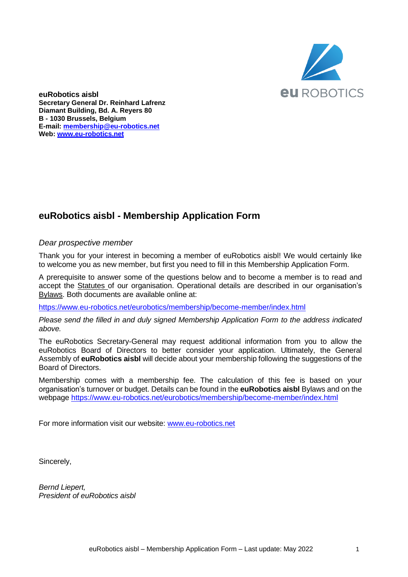

**euRobotics aisbl Secretary General Dr. Reinhard Lafrenz Diamant Building, Bd. A. Reyers 80 B - 1030 Brussels, Belgium E-mail: [membership@eu-robotics.net](mailto:Reinhard.Lafrenz@eu-robotics.net) Web: [www.eu-robotics.net](http://www.eu-robotics.net/)**

## **euRobotics aisbl - Membership Application Form**

## *Dear prospective member*

Thank you for your interest in becoming a member of euRobotics aisbl! We would certainly like to welcome you as new member, but first you need to fill in this Membership Application Form.

A prerequisite to answer some of the questions below and to become a member is to read and accept the Statutes of our organisation. Operational details are described in our organisation's Bylaws. Both documents are available online at:

<https://www.eu-robotics.net/eurobotics/membership/become-member/index.html>

*Please send the filled in and duly signed Membership Application Form to the address indicated above.*

The euRobotics Secretary-General may request additional information from you to allow the euRobotics Board of Directors to better consider your application. Ultimately, the General Assembly of **euRobotics aisbl** will decide about your membership following the suggestions of the Board of Directors.

Membership comes with a membership fee. The calculation of this fee is based on your organisation's turnover or budget. Details can be found in the **euRobotics aisbl** Bylaws and on the webpage<https://www.eu-robotics.net/eurobotics/membership/become-member/index.html>

For more information visit our website: [www.eu-robotics.net](http://www.eu-robotics.net/)

Sincerely,

*Bernd Liepert, President of euRobotics aisbl*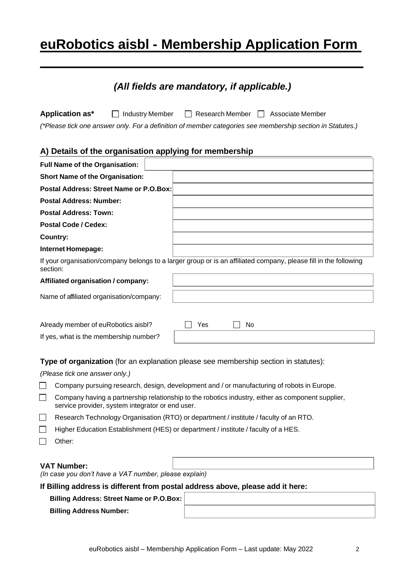# **euRobotics aisbl - Membership Application Form**

| (All fields are mandatory, if applicable.)                                                                                                                                                    |  |  |  |  |
|-----------------------------------------------------------------------------------------------------------------------------------------------------------------------------------------------|--|--|--|--|
| Application as*<br><b>Industry Member</b><br>Research Member<br>Associate Member<br>(*Please tick one answer only. For a definition of member categories see membership section in Statutes.) |  |  |  |  |
| A) Details of the organisation applying for membership                                                                                                                                        |  |  |  |  |
| Full Name of the Organisation:                                                                                                                                                                |  |  |  |  |
| <b>Short Name of the Organisation:</b>                                                                                                                                                        |  |  |  |  |
| Postal Address: Street Name or P.O.Box:                                                                                                                                                       |  |  |  |  |
| <b>Postal Address: Number:</b>                                                                                                                                                                |  |  |  |  |
| <b>Postal Address: Town:</b>                                                                                                                                                                  |  |  |  |  |
| <b>Postal Code / Cedex:</b>                                                                                                                                                                   |  |  |  |  |
| <b>Country:</b>                                                                                                                                                                               |  |  |  |  |
| <b>Internet Homepage:</b>                                                                                                                                                                     |  |  |  |  |
| If your organisation/company belongs to a larger group or is an affiliated company, please fill in the following<br>section:                                                                  |  |  |  |  |
| Affiliated organisation / company:                                                                                                                                                            |  |  |  |  |
| Name of affiliated organisation/company:                                                                                                                                                      |  |  |  |  |
| Yes<br>No<br>Already member of euRobotics aisbl?                                                                                                                                              |  |  |  |  |
| If yes, what is the membership number?                                                                                                                                                        |  |  |  |  |
| Type of organization (for an explanation please see membership section in statutes):<br>(Please tick one answer only.)                                                                        |  |  |  |  |
| Company pursuing research, design, development and / or manufacturing of robots in Europe.                                                                                                    |  |  |  |  |
| Company having a partnership relationship to the robotics industry, either as component supplier,<br>service provider, system integrator or end user.                                         |  |  |  |  |
| Research Technology Organisation (RTO) or department / institute / faculty of an RTO.                                                                                                         |  |  |  |  |
| Higher Education Establishment (HES) or department / institute / faculty of a HES.                                                                                                            |  |  |  |  |
| Other:                                                                                                                                                                                        |  |  |  |  |
|                                                                                                                                                                                               |  |  |  |  |

#### **VAT Number:**

*(In case you don't have a VAT number, please explain)*

## **If Billing address is different from postal address above, please add it here:**

**Billing Address: Street Name or P.O.Box:**

| <b>Billing Address Number:</b> |
|--------------------------------|
|--------------------------------|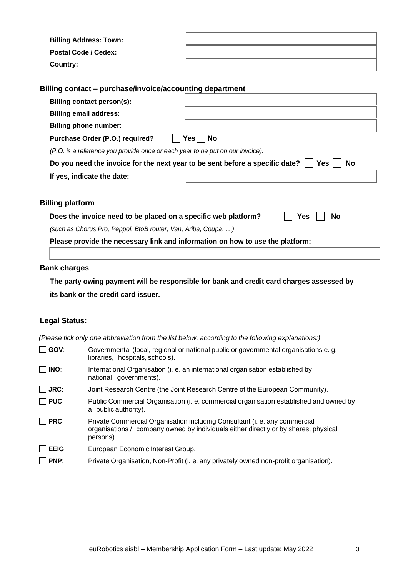| <b>Billing Address: Town:</b> |  |
|-------------------------------|--|
| <b>Postal Code / Cedex:</b>   |  |
| <b>Country:</b>               |  |

## **Billing contact – purchase/invoice/accounting department**

| Billing contact person(s):                                                                          |                   |  |  |  |  |
|-----------------------------------------------------------------------------------------------------|-------------------|--|--|--|--|
| <b>Billing email address:</b>                                                                       |                   |  |  |  |  |
| <b>Billing phone number:</b>                                                                        |                   |  |  |  |  |
| Purchase Order (P.O.) required?                                                                     | <b>No</b><br>∕es∥ |  |  |  |  |
| (P.O. is a reference you provide once or each year to be put on our invoice).                       |                   |  |  |  |  |
| Do you need the invoice for the next year to be sent before a specific date?<br>Yes  .<br><b>No</b> |                   |  |  |  |  |
| If yes, indicate the date:                                                                          |                   |  |  |  |  |

# **Billing platform**

| Does the invoice need to be placed on a specific web platform? |  | $\Box$ Yes $\Box$ No |  |  |  |
|----------------------------------------------------------------|--|----------------------|--|--|--|
|----------------------------------------------------------------|--|----------------------|--|--|--|

| Nο |
|----|
|----|

*(such as Chorus Pro, Peppol, BtoB router, Van, Ariba, Coupa, …)*

**Please provide the necessary link and information on how to use the platform:** 

## **Bank charges**

**The party owing payment will be responsible for bank and credit card charges assessed by its bank or the credit card issuer.**

## **Legal Status:**

*(Please tick only one abbreviation from the list below, according to the following explanations:)*

| GOV:        | Governmental (local, regional or national public or governmental organisations e.g.<br>libraries, hospitals, schools).                                                         |
|-------------|--------------------------------------------------------------------------------------------------------------------------------------------------------------------------------|
| INO:        | International Organisation (i. e. an international organisation established by<br>national governments).                                                                       |
| <b>JRC:</b> | Joint Research Centre (the Joint Research Centre of the European Community).                                                                                                   |
| PUC:        | Public Commercial Organisation (i. e. commercial organisation established and owned by<br>a public authority).                                                                 |
| PRC:        | Private Commercial Organisation including Consultant (i. e. any commercial<br>organisations / company owned by individuals either directly or by shares, physical<br>persons). |
| EEIG:       | European Economic Interest Group.                                                                                                                                              |
| PNP:        | Private Organisation, Non-Profit (i. e. any privately owned non-profit organisation).                                                                                          |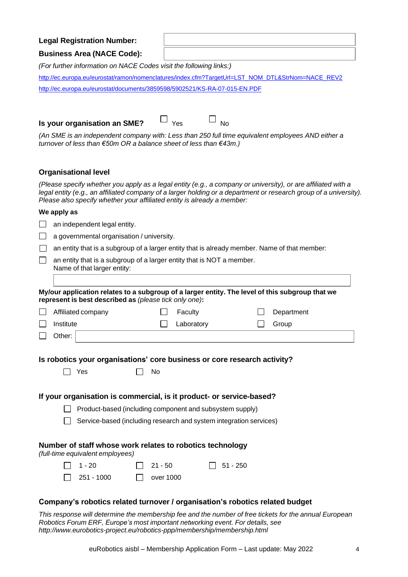### **Legal Registration Number:**

#### **Business Area (NACE Code):**

*(For further information on NACE Codes visit the following links:)*

[http://ec.europa.eu/eurostat/ramon/nomenclatures/index.cfm?TargetUrl=LST\\_NOM\\_DTL&StrNom=NACE\\_REV2](http://ec.europa.eu/eurostat/ramon/nomenclatures/index.cfm?TargetUrl=LST_NOM_DTL&StrNom=NACE_REV2&StrLanguageCode=EN) <http://ec.europa.eu/eurostat/documents/3859598/5902521/KS-RA-07-015-EN.PDF>

| Is your organisation an SME? | $\Box$ Yes | $\Box_{\rm NC}$ |
|------------------------------|------------|-----------------|
|------------------------------|------------|-----------------|



*(An SME is an independent company with: Less than 250 full time equivalent employees AND either a turnover of less than €50m OR a balance sheet of less than €43m.)*

#### **Organisational level**

(Please specify whether you apply as a legal entity (e.g., a company or university), or are affiliated with a legal entity (e.g., an affiliated company of a larger holding or a department or research group of a university). *Please also specify whether your affiliated entity is already a member:*

#### **We apply as**

 $\Box$  $\Box$ П

 $\Box$ an independent legal entity.

a governmental organisation / university.

an entity that is a subgroup of a larger entity that is already member. Name of that member:

an entity that is a subgroup of a larger entity that is NOT a member.

Name of that larger entity:

| My/our application relates to a subgroup of a larger entity. The level of this subgroup that we |
|-------------------------------------------------------------------------------------------------|
| represent is best described as (please tick only one):                                          |

| Affiliated company  | Faculty    | Department |
|---------------------|------------|------------|
| Institute           | Laboratory | Group      |
| $\mathsf{Other:}~'$ |            |            |

**Is robotics your organisations' core business or core research activity?**

|--|--|

| $\Box$ No<br>Yes |  |
|------------------|--|
|------------------|--|

## **If your organisation is commercial, is it product- or service-based?**

Product-based (including component and subsystem supply)

Service-based (including research and system integration services)

## **Number of staff whose work relates to robotics technology**

*(full-time equivalent employees)*

| $\Box$ 1 - 20     | $\Box$ 21 - 50   | $\Box$ 51 - 250 |
|-------------------|------------------|-----------------|
| $\Box$ 251 - 1000 | $\Box$ over 1000 |                 |

## **Company's robotics related turnover / organisation's robotics related budget**

*This response will determine the membership fee and the number of free tickets for the annual European Robotics Forum ERF, Europe's most important networking event. For details, see <http://www.eurobotics-project.eu/robotics-ppp/membership/membership.html>*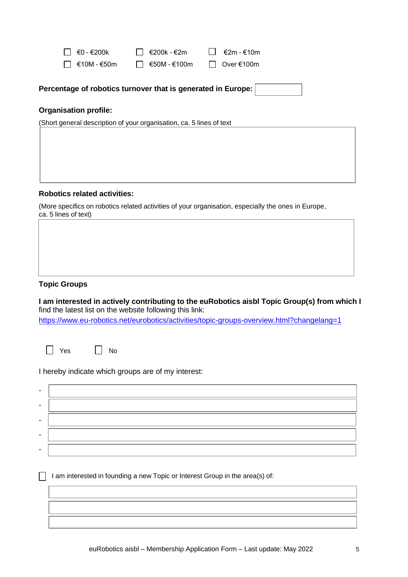| $\Box$ ∈0 - €200k                      | $\Box$ €200k - €2m                      | $\Box$ €2m - €10m |
|----------------------------------------|-----------------------------------------|-------------------|
| $\Box$ $\epsilon$ 10M - $\epsilon$ 50m | $\Box$ $\epsilon$ 50M - $\epsilon$ 100m | $\Box$ Over €100m |

| Percentage of robotics turnover that is generated in Europe: |  |
|--------------------------------------------------------------|--|
|                                                              |  |

## **Organisation profile:**

(Short general description of your organisation, ca. 5 lines of text

#### **Robotics related activities:**

(More specifics on robotics related activities of your organisation, especially the ones in Europe, ca. 5 lines of text)

## **Topic Groups**

**I am interested in actively contributing to the euRobotics aisbl Topic Group(s) from which I** find the latest list on the website following this link:

https://www.eu-robotics.net/eurobotics/activities/topic-groups-overview.html?changelang=1





I hereby indicate which groups are of my interest:

| - |  |
|---|--|
| ۰ |  |
|   |  |
|   |  |
| ۰ |  |

 $\Box$  I am interested in founding a new Topic or Interest Group in the area(s) of: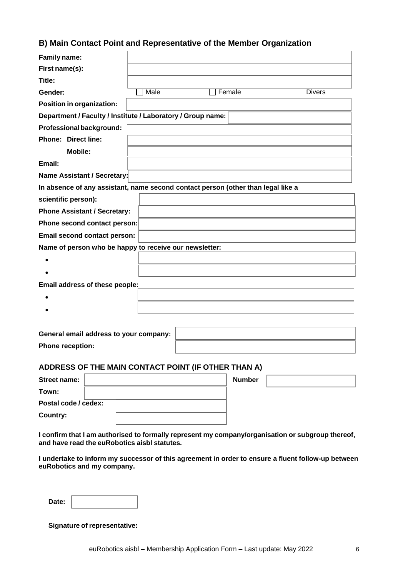## **B) Main Contact Point and Representative of the Member Organization**

| Family name:                                                                                                                                      |      |  |  |               |  |               |
|---------------------------------------------------------------------------------------------------------------------------------------------------|------|--|--|---------------|--|---------------|
| First name(s):                                                                                                                                    |      |  |  |               |  |               |
| Title:                                                                                                                                            |      |  |  |               |  |               |
| Gender:                                                                                                                                           | Male |  |  | Female        |  | <b>Divers</b> |
| <b>Position in organization:</b>                                                                                                                  |      |  |  |               |  |               |
| Department / Faculty / Institute / Laboratory / Group name:                                                                                       |      |  |  |               |  |               |
| Professional background:                                                                                                                          |      |  |  |               |  |               |
| <b>Phone: Direct line:</b>                                                                                                                        |      |  |  |               |  |               |
| <b>Mobile:</b>                                                                                                                                    |      |  |  |               |  |               |
| Email:                                                                                                                                            |      |  |  |               |  |               |
| Name Assistant / Secretary:                                                                                                                       |      |  |  |               |  |               |
| In absence of any assistant, name second contact person (other than legal like a                                                                  |      |  |  |               |  |               |
| scientific person):                                                                                                                               |      |  |  |               |  |               |
| <b>Phone Assistant / Secretary:</b>                                                                                                               |      |  |  |               |  |               |
| Phone second contact person:                                                                                                                      |      |  |  |               |  |               |
| Email second contact person:                                                                                                                      |      |  |  |               |  |               |
| Name of person who be happy to receive our newsletter:                                                                                            |      |  |  |               |  |               |
|                                                                                                                                                   |      |  |  |               |  |               |
|                                                                                                                                                   |      |  |  |               |  |               |
| Email address of these people:                                                                                                                    |      |  |  |               |  |               |
|                                                                                                                                                   |      |  |  |               |  |               |
|                                                                                                                                                   |      |  |  |               |  |               |
|                                                                                                                                                   |      |  |  |               |  |               |
| General email address to your company:                                                                                                            |      |  |  |               |  |               |
| <b>Phone reception:</b>                                                                                                                           |      |  |  |               |  |               |
|                                                                                                                                                   |      |  |  |               |  |               |
| ADDRESS OF THE MAIN CONTACT POINT (IF OTHER THAN A)                                                                                               |      |  |  |               |  |               |
| <b>Street name:</b>                                                                                                                               |      |  |  | <b>Number</b> |  |               |
| Town:                                                                                                                                             |      |  |  |               |  |               |
| Postal code / cedex:                                                                                                                              |      |  |  |               |  |               |
| <b>Country:</b>                                                                                                                                   |      |  |  |               |  |               |
|                                                                                                                                                   |      |  |  |               |  |               |
| I confirm that I am authorised to formally represent my company/organisation or subgroup thereof,<br>and have read the euRobotics aisbl statutes. |      |  |  |               |  |               |
| I undertake to inform my successor of this agreement in order to ensure a fluent follow-up between<br>euRobotics and my company.                  |      |  |  |               |  |               |
| Date:                                                                                                                                             |      |  |  |               |  |               |
| <b>Signature of representative:</b>                                                                                                               |      |  |  |               |  |               |

 $\overline{a}$